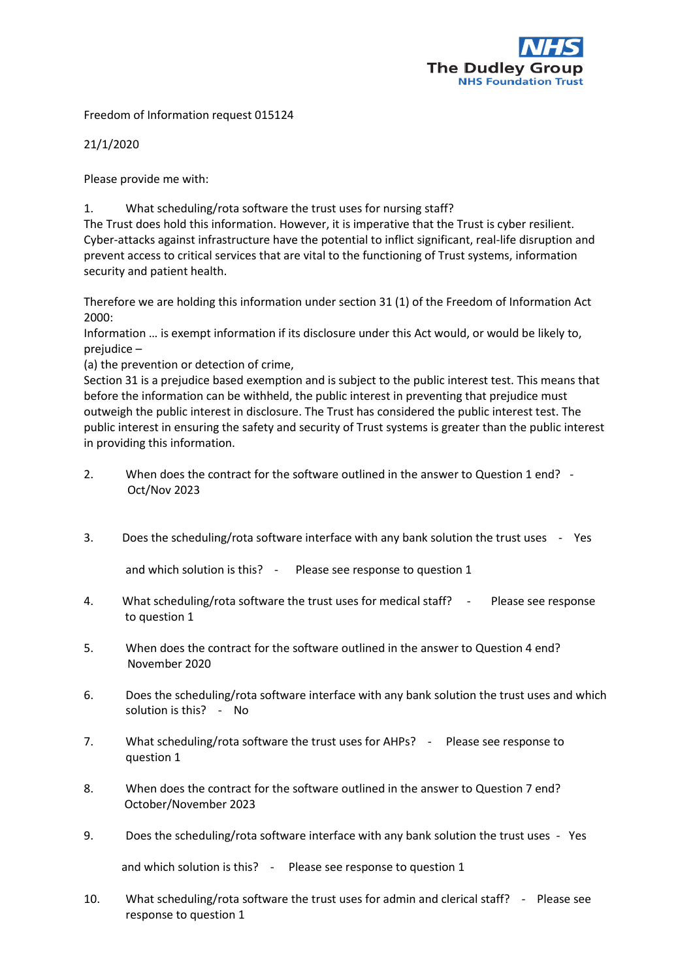

Freedom of Information request 015124

21/1/2020

Please provide me with:

1. What scheduling/rota software the trust uses for nursing staff?

The Trust does hold this information. However, it is imperative that the Trust is cyber resilient. Cyber-attacks against infrastructure have the potential to inflict significant, real-life disruption and prevent access to critical services that are vital to the functioning of Trust systems, information security and patient health.

Therefore we are holding this information under section 31 (1) of the Freedom of Information Act 2000:

Information … is exempt information if its disclosure under this Act would, or would be likely to, prejudice –

(a) the prevention or detection of crime,

Section 31 is a prejudice based exemption and is subject to the public interest test. This means that before the information can be withheld, the public interest in preventing that prejudice must outweigh the public interest in disclosure. The Trust has considered the public interest test. The public interest in ensuring the safety and security of Trust systems is greater than the public interest in providing this information.

- 2. When does the contract for the software outlined in the answer to Question 1 end? Oct/Nov 2023
- 3. Does the scheduling/rota software interface with any bank solution the trust uses Yes

and which solution is this? - Please see response to question 1

- 4. What scheduling/rota software the trust uses for medical staff? Please see response to question 1
- 5. When does the contract for the software outlined in the answer to Question 4 end? November 2020
- 6. Does the scheduling/rota software interface with any bank solution the trust uses and which solution is this? - No
- 7. What scheduling/rota software the trust uses for AHPs? Please see response to question 1
- 8. When does the contract for the software outlined in the answer to Question 7 end? October/November 2023
- 9. Does the scheduling/rota software interface with any bank solution the trust uses Yes

and which solution is this? - Please see response to question 1

10. What scheduling/rota software the trust uses for admin and clerical staff? - Please see response to question 1